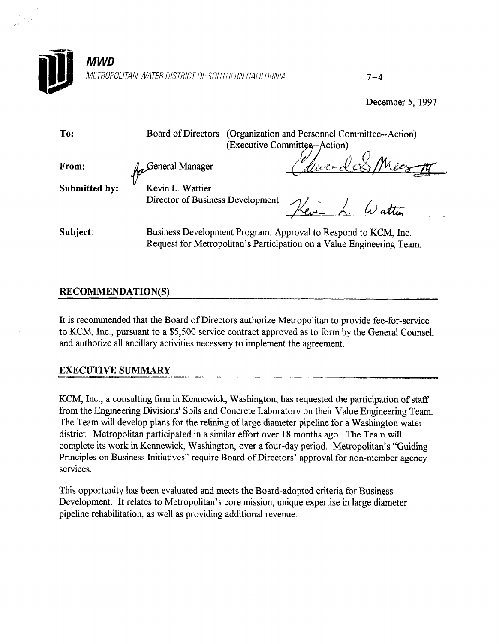

December 5, 1997

| To:                  | Board of Directors (Organization and Personnel Committee--Action)<br>(Executive Committee--Action)                                      |
|----------------------|-----------------------------------------------------------------------------------------------------------------------------------------|
| From:                | Where I & Mean<br>$\Lambda$ . General Manager                                                                                           |
| <b>Submitted by:</b> | Kevin L. Wattier<br>Director of Business Development                                                                                    |
| Subject:             | Business Development Program: Approval to Respond to KCM, Inc.<br>Request for Metropolitan's Participation on a Value Engineering Team. |

## RECOMMENDATION(S)

It is recommended that the Board of Directors authorize Metropolitan to provide fee-for-service to KCM, Inc., pursuant to a \$5,500 service contract approved as to form by the General Counsel, and authorize all ancillary activities necessary to implement the agreement.

## EXECUTIVE SUMMARY

 $K$  inc., a consulting firm in Kennewick,  $K$  requested the participation of station of station of station of station of station of station of station of station of station of station of station of station of station of s From, the engineering their in Kennewick, washington, has requested the participation of staff The Team will develop plans for the religion of the religion water progressing the religion of the religion water program was discussed in the religion of the religion was discussed in the religion of the religion was disc The Team will develop plans for the reming of large diameter pipeline for a washington district. Metropolitan participated in a similar effort over 18 months ago. The Team will complete its work in Kennewick, Washington, over a four-day period. Metropolitan's "Guiding Principles on Business Initiatives" require Board of Directors' approval for non-member agency services.

I in opportunity has been evaluated and meets the Board-adopted criteria for Business Development. It relates to Metropolitan's core mission, unique expertise in large diameter pipeline rehabilitation, as well as providing additional revenue.